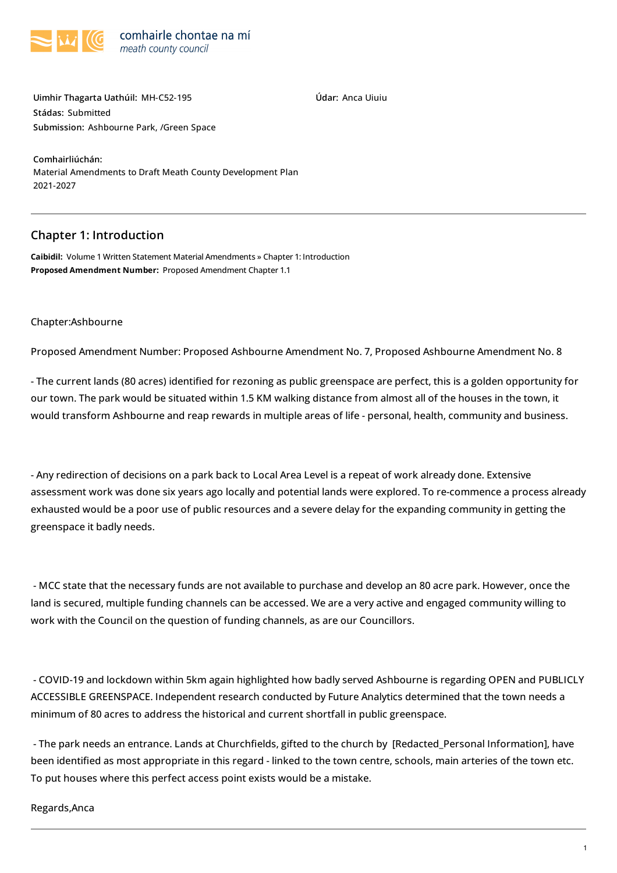

**Údar:** Anca Uiuiu

**Uimhir Thagarta Uathúil:** MH-C52-195 **Stádas:** Submitted **Submission:** [Ashbourne](https://consult.meath.ie/ga/node/7122) Park, /Green Space

**Comhairliúchán:** Material [Amendments](https://consult.meath.ie/ga/consultation/material-amendments-draft-meath-county-development-plan-2021-2027) to Draft Meath County Development Plan 2021-2027

## **Chapter 1: Introduction**

**Caibidil:** Volume 1 Written Statement Material [Amendments](https://consult.meath.ie/ga/consultation/material-amendments-draft-meath-county-development-plan-2021-2027/chapter/volume-1-written-statement-material-amendments) » Chapter 1: [Introduction](https://consult.meath.ie/ga/consultation/material-amendments-draft-meath-county-development-plan-2021-2027/chapter/chapter-1-introduction) **Proposed Amendment Number:** Proposed Amendment Chapter 1.1

## Chapter[:Ashbourne](https://consult.meath.ie/en/consultation/material-amendments-draft-meath-county-development-plan-2021-2027/chapter/ashbourne)

Proposed Amendment Number: Proposed Ashbourne Amendment No. 7, Proposed Ashbourne Amendment No. 8

- The current lands (80 acres) identified for rezoning as public greenspace are perfect, this is a golden opportunity for our town. The park would be situated within 1.5 KM walking distance from almost all of the houses in the town, it would transform Ashbourne and reap rewards in multiple areas of life - personal, health, community and business.

- Any redirection of decisions on a park back to Local Area Level is a repeat of work already done. Extensive assessment work was done six years ago locally and potential lands were explored. To re-commence a process already exhausted would be a poor use of public resources and a severe delay for the expanding community in getting the greenspace it badly needs.

- MCC state that the necessary funds are not available to purchase and develop an 80 acre park. However, once the land is secured, multiple funding channels can be accessed. We are a very active and engaged community willing to work with the Council on the question of funding channels, as are our Councillors.

- COVID-19 and lockdown within 5km again highlighted how badly served Ashbourne is regarding OPEN and PUBLICLY ACCESSIBLE GREENSPACE. Independent research conducted by Future Analytics determined that the town needs a minimum of 80 acres to address the historical and current shortfall in public greenspace.

- The park needs an entrance. Lands at Church'elds, gifted to the church by [Redacted\_Personal Information], have been identified as most appropriate in this regard - linked to the town centre, schools, main arteries of the town etc. To put houses where this perfect access point exists would be a mistake.

## Regards,Anca